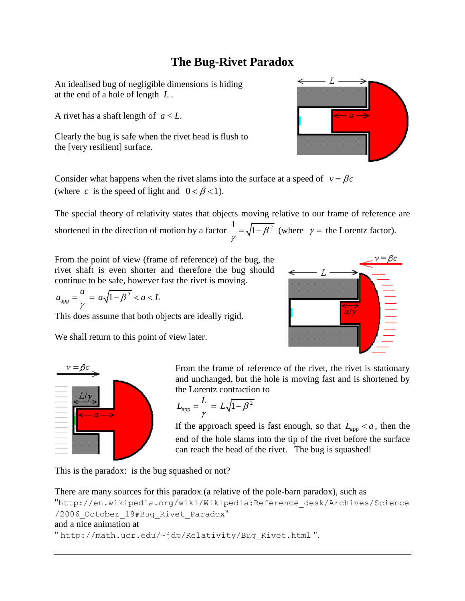## **The Bug-Rivet Paradox**

An idealised bug of negligible dimensions is hiding at the end of a hole of length *L* .

A rivet has a shaft length of *a* < *L*.

Clearly the bug is safe when the rivet head is flush to the [very resilient] surface.

Consider what happens when the rivet slams into the surface at a speed of  $v = \beta c$ (where c is the speed of light and  $0 < \beta < 1$ ).

The special theory of relativity states that objects moving relative to our frame of reference are shortened in the direction of motion by a factor  $\frac{1}{2} = \sqrt{1 - \beta^2}$  $=\sqrt{1-\beta^2}$  (where  $\gamma$  = the Lorentz factor).

γ

From the point of view (frame of reference) of the bug, the rivet shaft is even shorter and therefore the bug should continue to be safe, however fast the rivet is moving.

$$
a_{\rm app} = \frac{a}{\gamma} = a\sqrt{1 - \beta^2} < a < L
$$

This does assume that both objects are ideally rigid.

We shall return to this point of view later.





From the frame of reference of the rivet, the rivet is stationary and unchanged, but the hole is moving fast and is shortened by the Lorentz contraction to

$$
L_{\rm app} = \frac{L}{\gamma} = L\sqrt{1 - \beta^2}
$$

If the approach speed is fast enough, so that  $L_{\text{app}} < a$ , then the end of the hole slams into the tip of the rivet before the surface can reach the head of the rivet. The bug is squashed!

This is the paradox: is the bug squashed or not?

```
There are many sources for this paradox (a relative of the pole-barn paradox), such as 
"http://en.wikipedia.org/wiki/Wikipedia:Reference_desk/Archives/Science
/2006 October 19#Bug Rivet Paradox"
and a nice animation at
" http://math.ucr.edu/~jdp/Relativity/Bug_Rivet.html ".
```
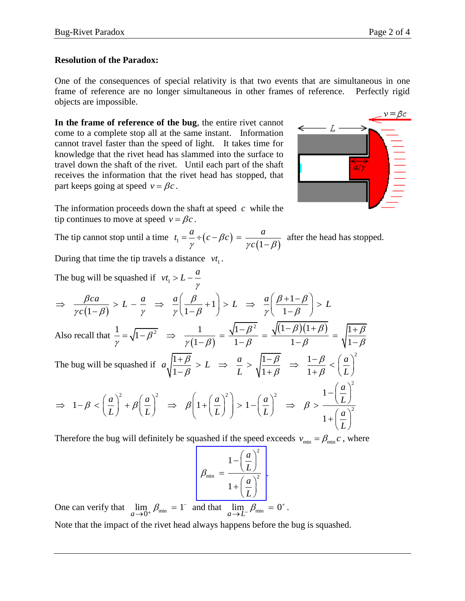## **Resolution of the Paradox:**

One of the consequences of special relativity is that two events that are simultaneous in one frame of reference are no longer simultaneous in other frames of reference. Perfectly rigid objects are impossible.

**In the frame of reference of the bug**, the entire rivet cannot come to a complete stop all at the same instant. Information cannot travel faster than the speed of light. It takes time for knowledge that the rivet head has slammed into the surface to travel down the shaft of the rivet. Until each part of the shaft receives the information that the rivet head has stopped, that part keeps going at speed  $v = \beta c$ .



The information proceeds down the shaft at speed *c* while the tip continues to move at speed  $v = \beta c$ .

The tip cannot stop until a time  $t_1 = \frac{a}{c} + (c - \beta c)$  $\frac{1}{\gamma} - \frac{1}{\gamma} \cdot (c - \beta c) = \frac{1}{\gamma c (1 - \beta)}$  $t_1 = \frac{a}{\gamma} \div (c - \beta c) = \frac{a}{\gamma c (1 - \beta)}$  a  $=\frac{a}{\gamma} \div (c - \beta c) = \frac{a}{\gamma c (1 - \gamma c)}$ after the head has stopped.

During that time the tip travels a distance  $vt_1$ .

The bug will be squashed if 
$$
vt_1 > L - \frac{a}{\gamma}
$$
  
\n
$$
\Rightarrow \frac{\beta ca}{\gamma c (1-\beta)} > L - \frac{a}{\gamma} \Rightarrow \frac{a}{\gamma} \left( \frac{\beta}{1-\beta} + 1 \right) > L \Rightarrow \frac{a}{\gamma} \left( \frac{\beta+1-\beta}{1-\beta} \right) > L
$$
\nAlso recall that  $\frac{1}{\gamma} = \sqrt{1-\beta^2} \Rightarrow \frac{1}{\gamma(1-\beta)} = \frac{\sqrt{1-\beta^2}}{1-\beta} = \frac{\sqrt{(1-\beta)(1+\beta)}}{1-\beta} = \sqrt{\frac{1+\beta}{1-\beta}}$   
\nThe bug will be squashed if  $a \sqrt{\frac{1+\beta}{1-\beta}} > L \Rightarrow \frac{a}{L} > \sqrt{\frac{1-\beta}{1+\beta}} \Rightarrow \frac{1-\beta}{1+\beta} < \left( \frac{a}{L} \right)^2$   
\n
$$
\Rightarrow 1-\beta < \left( \frac{a}{L} \right)^2 + \beta \left( \frac{a}{L} \right)^2 \Rightarrow \beta \left( 1 + \left( \frac{a}{L} \right)^2 \right) > 1 - \left( \frac{a}{L} \right)^2 \Rightarrow \beta > \frac{1 - \left( \frac{a}{L} \right)^2}{1 + \left( \frac{a}{L} \right)^2}
$$
\nTherefore the bug will definitely be squashed if the speed exceeds  $y = -\beta$ ,  $c$ , where

Therefore the bug will definitely be squashed if the speed exceeds  $v_{\text{min}} = \beta_{\text{min}} c$ , where

$$
\beta_{\min} = \frac{1 - \left(\frac{a}{L}\right)^2}{1 + \left(\frac{a}{L}\right)^2}.
$$

One can verify that  $\lim_{a \to 0^+} \beta_{\min} = 1^ \lim_{\delta \to 0^+} \beta_{\min} = 1^-$  and that  $\lim_{a \to L^-} \beta_{\min} = 0^+$  $\lim_{\longrightarrow L^-} \beta_{\min} = 0^+$ .

Note that the impact of the rivet head always happens before the bug is squashed.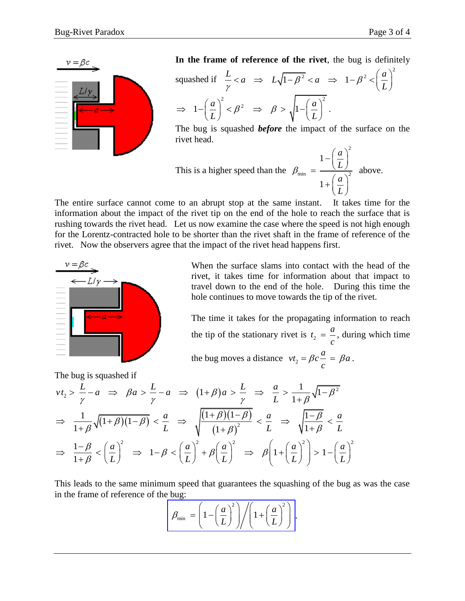

In the frame of reference of the rivet, the bug is definitely  
squashed if 
$$
\frac{L}{\gamma} < a \implies L\sqrt{1-\beta^2} < a \implies 1-\beta^2 < \left(\frac{a}{L}\right)^2
$$
  
 $\implies 1-\left(\frac{a}{L}\right)^2 < \beta^2 \implies \beta > \sqrt{1-\left(\frac{a}{L}\right)^2}$ .

The bug is squashed *before* the impact of the surface on the rivet head.

This is a higher speed than the 
$$
\beta_{\min} = \frac{1 - \left(\frac{a}{L}\right)^2}{1 + \left(\frac{a}{L}\right)^2}
$$
 above.

The entire surface cannot come to an abrupt stop at the same instant. It takes time for the information about the impact of the rivet tip on the end of the hole to reach the surface that is rushing towards the rivet head. Let us now examine the case where the speed is not high enough for the Lorentz-contracted hole to be shorter than the rivet shaft in the frame of reference of the rivet. Now the observers agree that the impact of the rivet head happens first.



When the surface slams into contact with the head of the rivet, it takes time for information about that impact to travel down to the end of the hole. During this time the hole continues to move towards the tip of the rivet.

The time it takes for the propagating information to reach the tip of the stationary rivet is  $t_2$  $t_2 = \frac{a}{a}$ *c*  $=\frac{u}{x}$ , during which time the bug moves a distance  $vt_2$  $vt_2 = \beta c - \frac{a}{a} = \beta a$ *c*  $=\beta c - \frac{a}{a} = \beta a$ .

.

The bug is squashed if  $(1+\beta)a > \frac{L}{2} \Rightarrow \frac{a}{1} > \frac{1}{1-\beta}\sqrt{1-\beta^2}$ 2 1 the bug moves a distance  $vt_2 = \beta c \frac{a}{c} = \beta a$ .<br>
The bug is squashed if<br>  $vt_2 > \frac{L}{\gamma} - a \implies \beta a > \frac{L}{\gamma} - a \implies (1 + \beta)a > \frac{L}{\gamma} \implies \frac{a}{L} > \frac{1}{1 + \beta} \sqrt{1 - \beta^2}$ lg is squashed if<br>  $\frac{L}{\gamma} - a \implies \beta a > \frac{L}{\gamma} - a \implies (1 + \beta)a > \frac{L}{\gamma} \implies \frac{a}{L} > \frac{1}{1 + \beta} \sqrt{1 - \beta^2}$ the bug moves a distance  $vt_2 = \beta c \frac{v}{c} = \beta a$ .<br>
bug is squashed if<br>  $> \frac{L}{\gamma} - a \Rightarrow \beta a > \frac{L}{\gamma} - a \Rightarrow (1 + \beta)a > \frac{L}{\gamma} \Rightarrow \frac{a}{L} > \frac{1}{1 + \beta} \sqrt{1 - \beta^2}$  $(1+\beta)(1-\beta)$  $(1+\beta)(1-\beta)$  $\frac{L}{\gamma} - a \Rightarrow \beta a > \frac{L}{\gamma} - a \Rightarrow (1 + \beta)a > \frac{L}{\gamma} \Rightarrow \frac{a}{L} > \frac{1}{1 + \beta}$ <br>  $\frac{1}{1 + \beta} \sqrt{(1 + \beta)(1 - \beta)} < \frac{a}{L} \Rightarrow \sqrt{\frac{(1 + \beta)(1 - \beta)}{(1 + \beta)^2}} < \frac{a}{L} \Rightarrow \sqrt{\frac{1}{1 + \beta}}$  $\frac{1}{\gamma} - a \Rightarrow \beta a > -a \Rightarrow (1+\beta)a > - \Rightarrow \frac{\pi}{2} > \frac{\pi}{1+\beta}$ <br> $\frac{1}{1+\beta}\sqrt{(1+\beta)(1-\beta)} < \frac{a}{L} \Rightarrow \sqrt{\frac{(1+\beta)(1-\beta)}{(1+\beta)^2}} < \frac{a}{L} \Rightarrow \sqrt{\frac{1}{1+\beta}}$ *a*  $\Rightarrow$   $(1+\beta)a > \frac{L}{\gamma} \Rightarrow \frac{a}{L} > \frac{1}{1+\beta}\sqrt{1-\beta^2}$ <br>  $\frac{a}{L} \Rightarrow \sqrt{\frac{(1+\beta)(1-\beta)}{(1-\beta)^2}} < \frac{a}{L} \Rightarrow \sqrt{\frac{1-\beta}{1+\beta}} < \frac{a}{L}$ *L*  $\Rightarrow$   $(1+\beta)a > \frac{\pi}{\gamma} \Rightarrow \frac{\pi}{L} > \frac{\pi}{1+\beta}\sqrt{1-\beta}$ <br>  $\frac{a}{L} \Rightarrow \sqrt{\frac{(1+\beta)(1-\beta)}{(1+\beta)^2}} < \frac{a}{L} \Rightarrow \sqrt{\frac{1-\beta}{1+\beta}} < \frac{a}{L}$  $\frac{d}{d}$  >  $\frac{L}{\gamma}$   $\Rightarrow$   $\frac{a}{L}$  >  $\frac{1}{1+\beta}\sqrt{1-\frac{a}{L}}$ <br> $\frac{a}{\sqrt{1-\beta}}$   $\leq$   $\frac{a}{L}$   $\Rightarrow$   $\frac{1-\beta}{L}$  $\Rightarrow \beta a > \frac{L}{\gamma} - a \Rightarrow$ <br> $\overline{\beta}(1-\beta) < \frac{a}{L} \Rightarrow$  $\overline{a} \to \overline{b}$   $\Rightarrow \overline{a} \to \overline{c}$   $\Rightarrow (1+\overline{b})a \to \overline{c}$   $\Rightarrow \overline{c} \to \overline{1+\overline{b}}$   $\sqrt{1-\overline{b}}$ <br>  $\overline{a}$   $\sqrt{(1+\overline{b})(1-\overline{b})} < \frac{a}{L}$   $\Rightarrow \sqrt{\frac{(1+\overline{b})(1-\overline{b})}{(1+\overline{b})^2}} < \frac{a}{L}$   $\Rightarrow \sqrt{\frac{1-\overline{b}}{1+\overline{b}}} < \frac{a}{L}$  $v t_2 > \frac{L}{\gamma} - a \Rightarrow \beta a > \frac{L}{\gamma} - a \Rightarrow (1+\beta)a > \frac{L}{\gamma} \Rightarrow \frac{a}{L} > \frac{1}{1+\beta} \sqrt{1-\beta^2}$ <br>  $\Rightarrow \frac{1}{1+\beta} \sqrt{(1+\beta)(1-\beta)} < \frac{a}{L} \Rightarrow \sqrt{\frac{(1+\beta)(1-\beta)}{(1+\beta)^2}} < \frac{a}{L} \Rightarrow \sqrt{\frac{1-\beta}{1+\beta}} < \frac{a}{L}$  $\frac{1}{\gamma} - a \Rightarrow \beta a > -a \Rightarrow (1+\beta)a > - \Rightarrow \frac{\pi}{L} > \frac{\pi}{1+\beta}\sqrt{1-\beta^2}$ <br> $\frac{1}{1+\beta}\sqrt{(1+\beta)(1-\beta)} < \frac{a}{L} \Rightarrow \sqrt{\frac{(1+\beta)(1-\beta)}{(1+\beta)^2}} < \frac{a}{L} \Rightarrow \sqrt{\frac{1-\beta}{1+\beta}} < \frac{a}{L}$  $\frac{1}{1+\beta}\sqrt{(1+\beta)(1-\beta)} < \frac{1}{L} \Rightarrow \sqrt{\frac{(1+\beta)^2}{(1+\beta)^2}} < \frac{1}{L} \Rightarrow \sqrt{\frac{1+\beta}{1+\beta}} < \frac{1}{L}$ <br>  $\frac{1-\beta}{(1+\beta)^2}$  (a)<sup>2</sup> (a)<sup>2</sup> (a)<sup>2</sup> (a)<sup>2</sup> (a)<sup>2</sup> (a)<sup>2</sup> (a)<sup>2</sup> (a)<sup>2</sup>  $\frac{1}{1+\beta}\sqrt{(1+\beta)(1-\beta)} < \frac{a}{L} \Rightarrow \sqrt{\frac{(1+\beta)(1-\beta)}{(1+\beta)^2}} < \frac{a}{L} \Rightarrow \sqrt{\frac{1-\beta}{1+\beta}}$ <br>  $\frac{1-\beta}{1+\beta} < \left(\frac{a}{L}\right)^2 \Rightarrow 1-\beta < \left(\frac{a}{L}\right)^2 + \beta\left(\frac{a}{L}\right)^2 \Rightarrow \beta\left(1+\left(\frac{a}{L}\right)^2\right) > 1$  $\Rightarrow \frac{1}{1+\beta}\sqrt{(1+\beta)(1-\beta)} < \frac{a}{L} \Rightarrow \sqrt{\frac{(1+\beta)(1-\beta)}{(1+\beta)^2}} < \frac{a}{L} \Rightarrow \sqrt{\frac{1-\beta}{1+\beta}} < \frac{a}{L}$ <br>  $\Rightarrow \frac{1-\beta}{1+\beta} < \left(\frac{a}{L}\right)^2 \Rightarrow 1-\beta < \left(\frac{a}{L}\right)^2 + \beta\left(\frac{a}{L}\right)^2 \Rightarrow \beta\left(1+\left(\frac{a}{L}\right)^2\right) > 1-\left(\frac{a}{L}\right)^2$  $\overline{L}$   $\rightarrow$   $\sqrt{(1+\beta)^2}$   $\leftarrow$   $\overline{L}$   $\rightarrow$   $\sqrt{1+\beta}$   $\leftarrow$   $\overline{L}$ <br>  $\left(\frac{a}{L}\right)^2$   $\rightarrow$   $1-\beta$   $\left(\frac{a}{L}\right)^2$   $\rightarrow$   $\beta\left(1+\left(\frac{a}{L}\right)^2\right)$   $\rightarrow$   $1-\left(\frac{a}{L}\right)^2$  $\beta$  $\frac{1}{\beta}\sqrt{(1+\beta)(1-\beta)} < \frac{a}{L} \Rightarrow \sqrt{\frac{(1+\beta)(1-\beta)}{(1+\beta)^2}} < \frac{a}{L} \Rightarrow \sqrt{\frac{1-\beta}{1+\beta}}$ <br>  $\frac{\beta}{\beta} < \left(\frac{a}{L}\right)^2 \Rightarrow 1-\beta < \left(\frac{a}{L}\right)^2 + \beta\left(\frac{a}{L}\right)^2 \Rightarrow \beta\left(1+\left(\frac{a}{L}\right)^2\right)$  $\frac{1}{1+\beta}\sqrt{(1+\beta)(1-\beta)} < \frac{1}{L} \Rightarrow \sqrt{\frac{(1+\beta)^2}{(1+\beta)^2}} < \frac{1}{L} \Rightarrow \sqrt{\frac{1+\beta}{1+\beta}} < \frac{1}{L}$ <br> $\frac{-\beta}{1+\beta} < (\frac{a}{L})^2 \Rightarrow 1-\beta < (\frac{a}{L})^2 + \beta(\frac{a}{L})^2 \Rightarrow \beta(1+(\frac{a}{L})^2) > 1-(\frac{a}{L})^2$ 

This leads to the same minimum speed that guarantees the squashing of the bug as was the case in the frame of reference of the bug:

e bug:  

$$
\beta_{\min} = \left(1 - \left(\frac{a}{L}\right)^2\right) / \left(1 + \left(\frac{a}{L}\right)^2\right).
$$